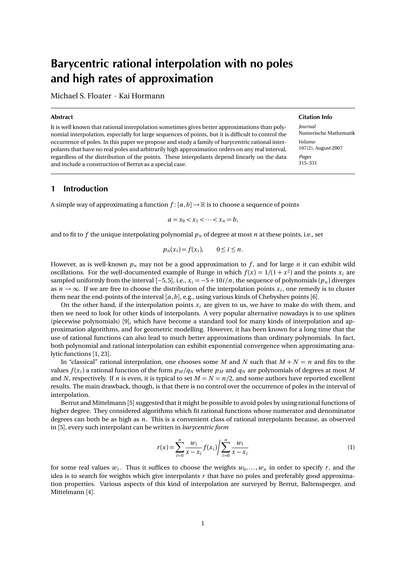# Barycentric rational interpolation with no poles and high rates of approximation

Michael S. Floater · Kai Hormann

### Abstract

It is well known that rational interpolation sometimes gives better approximations than polynomial interpolation, especially for large sequences of points, but it is difficult to control the occurrence of poles. In this paper we propose and study a family of barycentric rational interpolants that have no real poles and arbitrarily high approximation orders on any real interval, regardless of the distribution of the points. These interpolants depend linearly on the data and include a construction of Berrut as a special case.

# 1 Introduction

A simple way of approximating a function  $f$ :  $[a,b] \to \mathbb{R}$  is to choose a sequence of points

$$
a = x_0 < x_1 < \cdots < x_n = b,
$$

and to fit to  $f$  the unique interpolating polynomial  $p_n$  of degree at most  $n$  at these points, i.e., set

$$
p_n(x_i) = f(x_i), \qquad 0 \le i \le n.
$$

However, as is well-known  $p_n$  may not be a good approximation to  $f$ , and for large  $n$  it can exhibit wild oscillations. For the well-documented example of Runge in which  $f(x) = 1/(1 + x^2)$  and the points  $x_i$  are sampled uniformly from the interval  $[-5, 5]$ , i.e.,  $x_i = -5 + 10i/n$ , the sequence of polynomials  $(p_n)$  diverges as  $n \to \infty$ . If we are free to choose the distribution of the interpolation points  $x_i$ , one remedy is to cluster them near the end-points of the interval [*a*,*b*], e.g., using various kinds of Chebyshev points [6].

On the other hand, if the interpolation points  $x_i$  are given to us, we have to make do with them, and then we need to look for other kinds of interpolants. A very popular alternative nowadays is to use splines (piecewise polynomials) [9], which have become a standard tool for many kinds of interpolation and approximation algorithms, and for geometric modelling. However, it has been known for a long time that the use of rational functions can also lead to much better approximations than ordinary polynomials. In fact, both polynomial and rational interpolation can exhibit exponential convergence when approximating analytic functions [1, 23].

In "classical" rational interpolation, one chooses some *M* and *N* such that  $M + N = n$  and fits to the values  $f(x_i)$  a rational function of the form  $p_M/q_N$  where  $p_M$  and  $q_N$  are polynomials of degrees at most M and *N*, respectively. If *n* is even, it is typical to set  $M = N = n/2$ , and some authors have reported excellent results. The main drawback, though, is that there is no control over the occurrence of poles in the interval of interpolation.

Berrut and Mittelmann [5] suggested that it might be possible to avoid poles by using rational functions of higher degree. They considered algorithms which fit rational functions whose numerator and denominator degrees can both be as high as *n*. This is a convenient class of rational interpolants because, as observed in [5], every such interpolant can be written in *barycentric form*

$$
r(x) = \sum_{i=0}^{n} \frac{w_i}{x - x_i} f(x_i) / \sum_{i=0}^{n} \frac{w_i}{x - x_i}
$$
 (1)

for some real values  $w_i$ . Thus it suffices to choose the weights  $w_0, \ldots, w_n$  in order to specify r, and the idea is to search for weights which give interpolants *r* that have no poles and preferably good approximation properties. Various aspects of this kind of interpolation are surveyed by Berrut, Baltensperger, and Mittelmann [4].

#### Citation Info

*Journal* Numerische Mathematik *Volume* 107(2), August 2007 *Pages* 315–331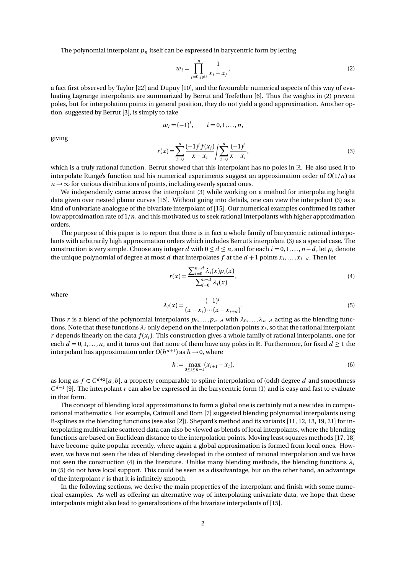The polynomial interpolant  $p_n$  itself can be expressed in barycentric form by letting

$$
w_i = \prod_{j=0, j \neq i}^{n} \frac{1}{x_i - x_j},
$$
\n(2)

a fact first observed by Taylor [22] and Dupuy [10], and the favourable numerical aspects of this way of evaluating Lagrange interpolants are summarized by Berrut and Trefethen [6]. Thus the weights in (2) prevent poles, but for interpolation points in general position, they do not yield a good approximation. Another option, suggested by Berrut [3], is simply to take

$$
w_i = (-1)^i
$$
,  $i = 0, 1, ..., n$ ,

giving

$$
r(x) = \sum_{i=0}^{n} \frac{(-1)^{i} f(x_{i})}{x - x_{i}} / \sum_{i=0}^{n} \frac{(-1)^{i}}{x - x_{i}},
$$
\n(3)

which is a truly rational function. Berrut showed that this interpolant has no poles in  $\mathbb R$ . He also used it to interpolate Runge's function and his numerical experiments suggest an approximation order of *O*(1*/n*) as  $n \rightarrow \infty$  for various distributions of points, including evenly spaced ones.

We independently came across the interpolant (3) while working on a method for interpolating height data given over nested planar curves [15]. Without going into details, one can view the interpolant (3) as a kind of univariate analogue of the bivariate interpolant of [15]. Our numerical examples confirmed its rather low approximation rate of 1*/n*, and this motivated us to seek rational interpolants with higher approximation orders.

The purpose of this paper is to report that there is in fact a whole family of barycentric rational interpolants with arbitrarily high approximation orders which includes Berrut's interpolant (3) as a special case. The construction is very simple. Choose any integer *d* with  $0 \le d \le n$ , and for each  $i = 0, 1, ..., n - d$ , let  $p_i$  denote the unique polynomial of degree at most  $d$  that interpolates  $f$  at the  $d+1$  points  $x_i, \ldots, x_{i+d}$ . Then let

$$
r(x) = \frac{\sum_{i=0}^{n-d} \lambda_i(x) p_i(x)}{\sum_{i=0}^{n-d} \lambda_i(x)},
$$
\n(4)

where

$$
\lambda_i(x) = \frac{(-1)^i}{(x - x_i) \cdots (x - x_{i+d})}.
$$
\n(5)

Thus *r* is a blend of the polynomial interpolants  $p_0, \ldots, p_{n-d}$  with  $\lambda_0, \ldots, \lambda_{n-d}$  acting as the blending functions. Note that these functions  $\lambda_i$  only depend on the interpolation points  $x_i$ , so that the rational interpolant *r* depends linearly on the data  $f(x_i)$ . This construction gives a whole family of rational interpolants, one for each  $d = 0, 1, \ldots, n$ , and it turns out that none of them have any poles in R. Furthermore, for fixed  $d \ge 1$  the interpolant has approximation order  $O(h^{d+1})$  as  $h \to 0$ , where

$$
h := \max_{0 \le i \le n-1} (x_{i+1} - x_i),\tag{6}
$$

as long as  $f \in C^{d+2}[a,b]$ , a property comparable to spline interpolation of (odd) degree *d* and smoothness *C*<sup>*d*-1</sup> [9]. The interpolant *r* can also be expressed in the barycentric form (1) and is easy and fast to evaluate in that form.

The concept of blending local approximations to form a global one is certainly not a new idea in computational mathematics. For example, Catmull and Rom [7] suggested blending polynomial interpolants using B-splines as the blending functions (see also [2]). Shepard's method and its variants [11, 12, 13, 19, 21] for interpolating multivariate scattered data can also be viewed as blends of local interpolants, where the blending functions are based on Euclidean distance to the interpolation points. Moving least squares methods [17, 18] have become quite popular recently, where again a global approximation is formed from local ones. However, we have not seen the idea of blending developed in the context of rational interpolation and we have not seen the construction (4) in the literature. Unlike many blending methods, the blending functions  $\lambda_i$ in (5) do not have local support. This could be seen as a disadvantage, but on the other hand, an advantage of the interpolant *r* is that it is infinitely smooth.

In the following sections, we derive the main properties of the interpolant and finish with some numerical examples. As well as offering an alternative way of interpolating univariate data, we hope that these interpolants might also lead to generalizations of the bivariate interpolants of [15].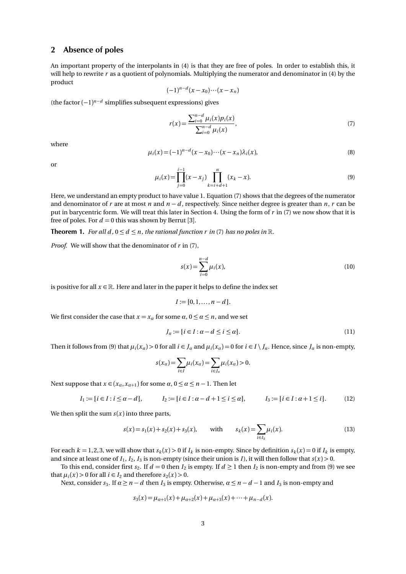## 2 Absence of poles

An important property of the interpolants in (4) is that they are free of poles. In order to establish this, it will help to rewrite *r* as a quotient of polynomials. Multiplying the numerator and denominator in (4) by the product

$$
(-1)^{n-d}(x-x_0)\cdots(x-x_n)
$$

(the factor (−1) *<sup>n</sup>*−*<sup>d</sup>* simplifies subsequent expressions) gives

$$
r(x) = \frac{\sum_{i=0}^{n-d} \mu_i(x) p_i(x)}{\sum_{i=0}^{n-d} \mu_i(x)},
$$
\n(7)

where

$$
\mu_i(x) = (-1)^{n-d} (x - x_0) \cdots (x - x_n) \lambda_i(x), \tag{8}
$$

or

$$
\mu_i(x) = \prod_{j=0}^{i-1} (x - x_j) \prod_{k=i+d+1}^n (x_k - x).
$$
\n(9)

Here, we understand an empty product to have value 1. Equation (7) shows that the degrees of the numerator and denominator of *r* are at most *n* and *n* − *d* , respectively. Since neither degree is greater than *n*, *r* can be put in barycentric form. We will treat this later in Section 4. Using the form of *r* in (7) we now show that it is free of poles. For  $d = 0$  this was shown by Berrut [3].

**Theorem 1.** *For all d*,  $0 \le d \le n$ *, the rational function r in* (7) *has no poles in*  $\mathbb{R}$ *.* 

*Proof.* We will show that the denominator of *r* in (7),

$$
s(x) = \sum_{i=0}^{n-d} \mu_i(x),
$$
\n(10)

is positive for all  $x \in \mathbb{R}$ . Here and later in the paper it helps to define the index set

$$
I := \{0, 1, \ldots, n - d\}.
$$

We first consider the case that  $x = x_\alpha$  for some  $\alpha, 0 \le \alpha \le n$ , and we set

$$
J_{\alpha} := \{ i \in I : \alpha - d \le i \le \alpha \}.
$$
\n<sup>(11)</sup>

Then it follows from (9) that  $\mu_i(x_\alpha) > 0$  for all  $i \in J_\alpha$  and  $\mu_i(x_\alpha) = 0$  for  $i \in I \setminus J_\alpha$ . Hence, since  $J_\alpha$  is non-empty,

$$
s(x_{\alpha})=\sum_{i\in I}\mu_i(x_{\alpha})=\sum_{i\in J_{\alpha}}\mu_i(x_{\alpha})>0.
$$

Next suppose that  $x \in (x_\alpha, x_{\alpha+1})$  for some  $\alpha, 0 \le \alpha \le n-1$ . Then let

$$
I_1 := \{i \in I : i \le \alpha - d\}, \qquad I_2 := \{i \in I : \alpha - d + 1 \le i \le \alpha\}, \qquad I_3 := \{i \in I : \alpha + 1 \le i\}.
$$
 (12)

We then split the sum  $s(x)$  into three parts,

$$
s(x) = s_1(x) + s_2(x) + s_3(x), \quad \text{with} \quad s_k(x) = \sum_{i \in I_k} \mu_i(x). \tag{13}
$$

For each  $k = 1, 2, 3$ , we will show that  $s_k(x) > 0$  if  $I_k$  is non-empty. Since by definition  $s_k(x) = 0$  if  $I_k$  is empty, and since at least one of  $I_1$ ,  $I_2$ ,  $I_3$  is non-empty (since their union is *I*), it will then follow that  $s(x) > 0$ .

To this end, consider first  $s_2$ . If  $d = 0$  then  $I_2$  is empty. If  $d \ge 1$  then  $I_2$  is non-empty and from (9) we see that  $\mu_i(x) > 0$  for all  $i \in I_2$  and therefore  $s_2(x) > 0$ .

Next, consider  $s_3$ . If  $\alpha \ge n - d$  then  $I_3$  is empty. Otherwise,  $\alpha \le n - d - 1$  and  $I_3$  is non-empty and

$$
s_3(x) = \mu_{\alpha+1}(x) + \mu_{\alpha+2}(x) + \mu_{\alpha+3}(x) + \cdots + \mu_{n-d}(x).
$$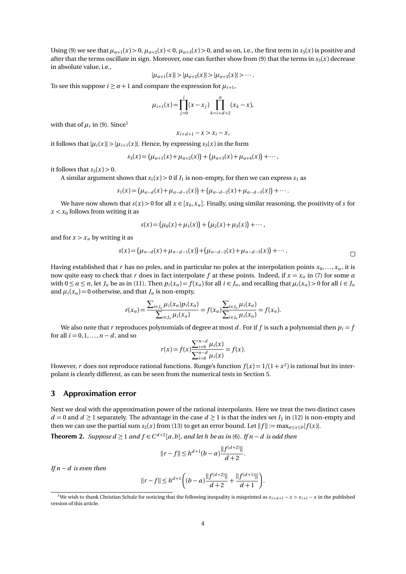Using (9) we see that  $\mu_{\alpha+1}(x) > 0$ ,  $\mu_{\alpha+2}(x) < 0$ ,  $\mu_{\alpha+3}(x) > 0$ , and so on, i.e., the first term in  $s_3(x)$  is positive and after that the terms oscillate in sign. Moreover, one can further show from (9) that the terms in  $s_3(x)$  decrease in absolute value, i.e.,

$$
|\mu_{\alpha+1}(x)| > |\mu_{\alpha+2}(x)| > |\mu_{\alpha+3}(x)| > \cdots.
$$

To see this suppose  $i \ge \alpha + 1$  and compare the expression for  $\mu_{i+1}$ ,

$$
\mu_{i+1}(x) = \prod_{j=0}^{i} (x - x_j) \prod_{k=i+d+2}^{n} (x_k - x),
$$

with that of  $\mu_i$  in (9). Since<sup>1</sup>

$$
x_{i+d+1} - x > x_i - x
$$

it follows that  $|\mu_i(x)| > |\mu_{i+1}(x)|$ . Hence, by expressing  $s_3(x)$  in the form

$$
s_3(x) = (\mu_{\alpha+1}(x) + \mu_{\alpha+2}(x)) + (\mu_{\alpha+3}(x) + \mu_{\alpha+4}(x)) + \cdots,
$$

it follows that  $s_3(x) > 0$ .

A similar argument shows that  $s_1(x) > 0$  if  $I_1$  is non-empty, for then we can express  $s_1$  as

$$
s_1(x) = (\mu_{\alpha-d}(x) + \mu_{\alpha-d-1}(x)) + (\mu_{\alpha-d-2}(x) + \mu_{\alpha-d-3}(x)) + \cdots
$$

We have now shown that  $s(x) > 0$  for all  $x \in [x_0, x_n]$ . Finally, using similar reasoning, the positivity of *s* for  $x < x_0$  follows from writing it as

$$
s(x) = (\mu_0(x) + \mu_1(x)) + (\mu_2(x) + \mu_3(x)) + \cdots,
$$

and for  $x > x_n$  by writing it as

$$
s(x) = (\mu_{n-d}(x) + \mu_{n-d-1}(x)) + (\mu_{n-d-2}(x) + \mu_{n-d-3}(x)) + \cdots
$$

Having established that *r* has no poles, and in particular no poles at the interpolation points  $x_0, \ldots, x_n$ , it is now quite easy to check that *r* does in fact interpolate *f* at these points. Indeed, if  $x = x_a$  in (7) for some  $\alpha$ with  $0 \le a \le n$ , let  $J_a$  be as in (11). Then  $p_i(x_a) = f(x_a)$  for all  $i \in J_a$ , and recalling that  $\mu_i(x_a) > 0$  for all  $i \in J_a$ and  $\mu_i(x_\alpha) = 0$  otherwise, and that  $J_\alpha$  is non-empty,

$$
r(x_{\alpha}) = \frac{\sum_{i \in J_{\alpha}} \mu_i(x_{\alpha}) p_i(x_{\alpha})}{\sum_{i \in J_{\alpha}} \mu_i(x_{\alpha})} = f(x_{\alpha}) \frac{\sum_{i \in J_{\alpha}} \mu_i(x_{\alpha})}{\sum_{i \in J_{\alpha}} \mu_i(x_{\alpha})} = f(x_{\alpha}).
$$

We also note that *r* reproduces polynomials of degree at most *d*. For if *f* is such a polynomial then  $p_i = f$ for all  $i = 0, 1, ..., n - d$ , and so

$$
r(x) = f(x) \frac{\sum_{i=0}^{n-d} \mu_i(x)}{\sum_{i=0}^{n-d} \mu_i(x)} = f(x).
$$

However, *r* does not reproduce rational functions. Runge's function  $f(x) = 1/(1 + x^2)$  is rational but its interpolant is clearly different, as can be seen from the numerical tests in Section 5.

## 3 Approximation error

Next we deal with the approximation power of the rational interpolants. Here we treat the two distinct cases *d* = 0 and *d*  $\ge$  1 separately. The advantage in the case *d*  $\ge$  1 is that the index set *I*<sub>2</sub> in (12) is non-empty and then we can use the partial sum  $s_2(x)$  from (13) to get an error bound. Let  $||f|| := \max_{a \le x \le b} |f(x)|$ .

**Theorem 2.** *Suppose d* ≥ 1 *and*  $f$  ∈  $C^{d+2}[a, b]$ *, and let h be as in* (6)*.* If  $n - d$  *is odd then* 

$$
||r - f|| \le h^{d+1}(b - a) \frac{||f^{(d+2)}||}{d+2}.
$$

*If n* − *d is even then*

$$
||r - f|| \le h^{d+1} \left( (b - a) \frac{||f^{(d+2)}||}{d+2} + \frac{||f^{(d+1)}||}{d+1} \right).
$$

<sup>&</sup>lt;sup>1</sup>We wish to thank Christian Schulz for noticing that the following inequality is misprinted as  $x_{i+d+1} - x > x_{i+1} - x$  in the published version of this article.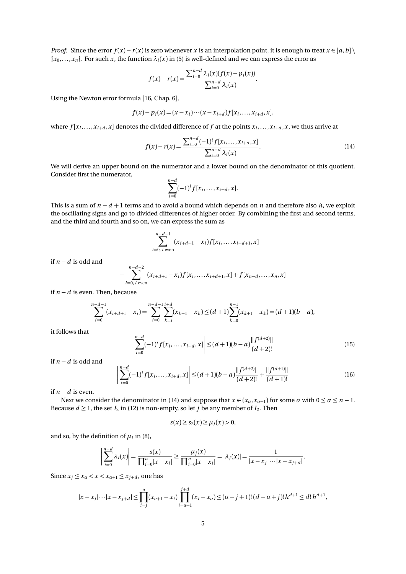*Proof.* Since the error  $f(x) - r(x)$  is zero whenever *x* is an interpolation point, it is enough to treat  $x \in [a, b]$  ${x_0, \ldots, x_n}$ . For such *x*, the function  $\lambda_i(x)$  in (5) is well-defined and we can express the error as

$$
f(x) - r(x) = \frac{\sum_{i=0}^{n-d} \lambda_i(x) (f(x) - p_i(x))}{\sum_{i=0}^{n-d} \lambda_i(x)}.
$$

Using the Newton error formula [16, Chap. 6],

$$
f(x) - p_i(x) = (x - x_i) \cdots (x - x_{i+d}) f[x_i, \ldots, x_{i+d}, x],
$$

where  $f[x_i, \ldots, x_{i+d}, x]$  denotes the divided difference of  $f$  at the points  $x_i, \ldots, x_{i+d}, x$ , we thus arrive at

$$
f(x) - r(x) = \frac{\sum_{i=0}^{n-d} (-1)^{i} f[x_{i}, \dots, x_{i+d}, x]}{\sum_{i=0}^{n-d} \lambda_{i}(x)}.
$$
 (14)

We will derive an upper bound on the numerator and a lower bound on the denominator of this quotient. Consider first the numerator,

$$
\sum_{i=0}^{n-d}(-1)^{i}f[x_{i},...,x_{i+d},x].
$$

This is a sum of  $n - d + 1$  terms and to avoid a bound which depends on *n* and therefore also *h*, we exploit the oscillating signs and go to divided differences of higher order. By combining the first and second terms, and the third and fourth and so on, we can express the sum as

$$
-\sum_{i=0, i \text{ even}}^{n-d-1} (x_{i+d+1}-x_i)f[x_i,\ldots,x_{i+d+1},x]
$$

if  $n − d$  is odd and

$$
-\sum_{i=0,\ i \text{ even}}^{n-d-2} (x_{i+d+1}-x_i)f[x_i,\ldots,x_{i+d+1},x]+f[x_{n-d},\ldots,x_n,x]
$$

if *n* − *d* is even. Then, because

$$
\sum_{i=0}^{n-d-1} (x_{i+d+1} - x_i) = \sum_{i=0}^{n-d-1} \sum_{k=i}^{i+d} (x_{k+1} - x_k) \le (d+1) \sum_{k=0}^{n-1} (x_{k+1} - x_k) = (d+1)(b-a),
$$

it follows that

$$
\left| \sum_{i=0}^{n-d} (-1)^i f[x_i, \dots, x_{i+d}, x] \right| \le (d+1)(b-a) \frac{\|f^{(d+2)}\|}{(d+2)!}
$$
\n(15)

if *n* − *d* is odd and

$$
\left| \sum_{i=0}^{n-d} (-1)^i f[x_i, \dots, x_{i+d}, x] \right| \le (d+1)(b-a) \frac{\|f^{(d+2)}\|}{(d+2)!} + \frac{\|f^{(d+1)}\|}{(d+1)!}
$$
(16)

if  $n − d$  is even.

Next we consider the denominator in (14) and suppose that  $x \in (x_\alpha, x_{\alpha+1})$  for some  $\alpha$  with  $0 \le \alpha \le n - 1$ . Because  $d \ge 1$ , the set  $I_2$  in (12) is non-empty, so let *j* be any member of  $I_2$ . Then

$$
s(x) \geq s_2(x) \geq \mu_j(x) > 0,
$$

and so, by the definition of  $\mu_i$  in (8),

$$
\left|\sum_{i=0}^{n-d} \lambda_i(x)\right| = \frac{s(x)}{\prod_{i=0}^n |x - x_i|} \ge \frac{\mu_j(x)}{\prod_{i=0}^n |x - x_i|} = |\lambda_j(x)| = \frac{1}{|x - x_j| \cdots |x - x_{j+d}|}.
$$

Since  $x_j \leq x_\alpha < x < x_{\alpha+1} \leq x_{j+d}$ , one has

$$
|x - x_j| \cdots |x - x_{j+d}| \le \prod_{i=j}^{\alpha} (x_{\alpha+1} - x_i) \prod_{i=\alpha+1}^{j+d} (x_i - x_\alpha) \le (\alpha - j + 1)!(d - \alpha + j)! h^{d+1} \le d! h^{d+1},
$$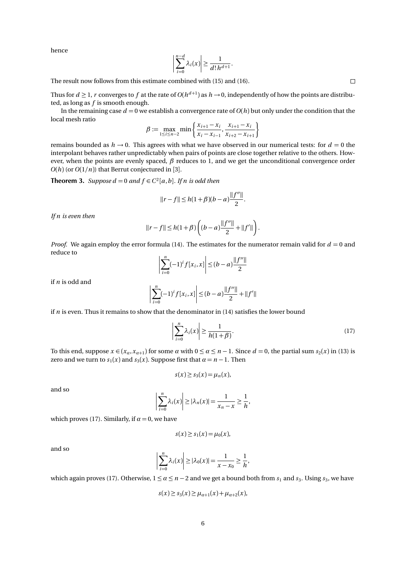hence

$$
\left|\sum_{i=0}^{n-d} \lambda_i(x)\right| \geq \frac{1}{d! \, h^{d+1}}.
$$

The result now follows from this estimate combined with (15) and (16).

Thus for  $d \ge 1$ ,  $r$  converges to  $f$  at the rate of  $O(h^{d+1})$  as  $h \to 0$ , independently of how the points are distributed, as long as *f* is smooth enough.

In the remaining case  $d = 0$  we establish a convergence rate of  $O(h)$  but only under the condition that the local mesh ratio

$$
\beta := \max_{1 \le i \le n-2} \min \left\{ \frac{x_{i+1} - x_i}{x_i - x_{i-1}}, \frac{x_{i+1} - x_i}{x_{i+2} - x_{i+1}} \right\}
$$

remains bounded as  $h \rightarrow 0$ . This agrees with what we have observed in our numerical tests: for  $d = 0$  the interpolant behaves rather unpredictably when pairs of points are close together relative to the others. However, when the points are evenly spaced, *β* reduces to 1, and we get the unconditional convergence order  $O(h)$  (or  $O(1/n)$ ) that Berrut conjectured in [3].

**Theorem 3.** *Suppose d* = 0 *and*  $f \in C^2[a, b]$ *. If n is odd then* 

$$
||r - f|| \le h(1 + \beta)(b - a)\frac{||f''||}{2}.
$$

*If n is even then*

$$
||r - f|| \le h(1 + \beta) \left( (b - a) \frac{||f''||}{2} + ||f'|| \right).
$$

*Proof.* We again employ the error formula (14). The estimates for the numerator remain valid for  $d = 0$  and reduce to

$$
\left| \sum_{i=0}^{n} (-1)^{i} f[x_{i}, x] \right| \leq (b - a) \frac{\|f''\|}{2}
$$

if *n* is odd and

$$
\left|\sum_{i=0}^{n}(-1)^{i}f[x_{i},x]\right| \leq (b-a)\frac{\|f''\|}{2} + \|f'\|
$$

if *n* is even. Thus it remains to show that the denominator in (14) satisfies the lower bound

$$
\left|\sum_{i=0}^{n} \lambda_i(x)\right| \ge \frac{1}{h(1+\beta)}.\tag{17}
$$

To this end, suppose  $x \in (x_a, x_{a+1})$  for some  $\alpha$  with  $0 \le \alpha \le n-1$ . Since  $d = 0$ , the partial sum  $s_2(x)$  in (13) is zero and we turn to  $s_1(x)$  and  $s_3(x)$ . Suppose first that  $\alpha = n - 1$ . Then

$$
s(x) \geq s_3(x) = \mu_n(x),
$$

and so

$$
\left|\sum_{i=0}^n \lambda_i(x)\right| \ge |\lambda_n(x)| = \frac{1}{x_n - x} \ge \frac{1}{h},
$$

which proves (17). Similarly, if  $\alpha = 0$ , we have

$$
s(x) \geq s_1(x) = \mu_0(x),
$$

and so

$$
\left|\sum_{i=0}^n \lambda_i(x)\right| \ge |\lambda_0(x)| = \frac{1}{x - x_0} \ge \frac{1}{h},
$$

which again proves (17). Otherwise,  $1 \le \alpha \le n - 2$  and we get a bound both from  $s_1$  and  $s_3$ . Using  $s_3$ , we have

$$
s(x) \ge s_3(x) \ge \mu_{\alpha+1}(x) + \mu_{\alpha+2}(x),
$$

 $\Box$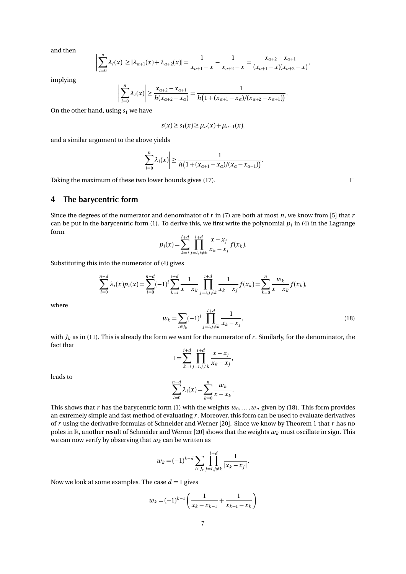and then

$$
\left|\sum_{i=0}^n \lambda_i(x)\right| \ge |\lambda_{\alpha+1}(x) + \lambda_{\alpha+2}(x)| = \frac{1}{x_{\alpha+1} - x} - \frac{1}{x_{\alpha+2} - x} = \frac{x_{\alpha+2} - x_{\alpha+1}}{(x_{\alpha+1} - x)(x_{\alpha+2} - x)},
$$

implying

$$
\left|\sum_{i=0}^n \lambda_i(x)\right| \geq \frac{x_{\alpha+2} - x_{\alpha+1}}{h(x_{\alpha+2} - x_\alpha)} = \frac{1}{h\left(1 + (x_{\alpha+1} - x_\alpha)/(x_{\alpha+2} - x_{\alpha+1})\right)}.
$$

On the other hand, using  $s_1$  we have

$$
s(x) \geq s_1(x) \geq \mu_{\alpha}(x) + \mu_{\alpha-1}(x),
$$

and a similar argument to the above yields

$$
\left|\sum_{i=0}^n \lambda_i(x)\right| \geq \frac{1}{h\left(1 + (x_{\alpha+1} - x_\alpha)/(x_\alpha - x_{\alpha-1})\right)}.
$$

Taking the maximum of these two lower bounds gives (17).

 $\Box$ 

# 4 The barycentric form

Since the degrees of the numerator and denominator of *r* in (7) are both at most *n*, we know from [5] that *r* can be put in the barycentric form (1). To derive this, we first write the polynomial  $p_i$  in (4) in the Lagrange form

$$
p_i(x) = \sum_{k=i}^{i+d} \prod_{j=i,j\neq k}^{i+d} \frac{x - x_j}{x_k - x_j} f(x_k).
$$

Substituting this into the numerator of (4) gives

$$
\sum_{i=0}^{n-d} \lambda_i(x) p_i(x) = \sum_{i=0}^{n-d} (-1)^i \sum_{k=i}^{i+d} \frac{1}{x - x_k} \prod_{j=i, j \neq k}^{i+d} \frac{1}{x_k - x_j} f(x_k) = \sum_{k=0}^{n} \frac{w_k}{x - x_k} f(x_k),
$$

where

$$
w_k = \sum_{i \in J_k} (-1)^i \prod_{j=i, j \neq k}^{i+d} \frac{1}{x_k - x_j},
$$
\n(18)

with  $J_k$  as in (11). This is already the form we want for the numerator of  $r$ . Similarly, for the denominator, the fact that

$$
1 = \sum_{k=i}^{i+d} \prod_{j=i,j\neq k}^{i+d} \frac{x - x_j}{x_k - x_j},
$$

leads to

$$
\sum_{i=0}^{n-d} \lambda_i(x) = \sum_{k=0}^{n} \frac{w_k}{x - x_k}.
$$

This shows that *r* has the barycentric form (1) with the weights  $w_0, \ldots, w_n$  given by (18). This form provides an extremely simple and fast method of evaluating *r* . Moreover, this form can be used to evaluate derivatives of *r* using the derivative formulas of Schneider and Werner [20]. Since we know by Theorem 1 that *r* has no poles in R, another result of Schneider and Werner [20] shows that the weights  $w_k$  must oscillate in sign. This we can now verify by observing that  $w_k$  can be written as

$$
w_k = (-1)^{k-d} \sum_{i \in J_k} \prod_{j=i, j \neq k}^{i+d} \frac{1}{|x_k - x_j|}.
$$

Now we look at some examples. The case  $d = 1$  gives

$$
w_k = (-1)^{k-1} \left( \frac{1}{x_k - x_{k-1}} + \frac{1}{x_{k+1} - x_k} \right)
$$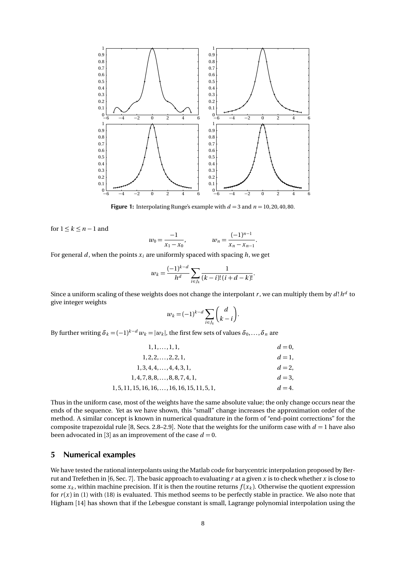

**Figure 1:** Interpolating Runge's example with  $d = 3$  and  $n = 10, 20, 40, 80$ .

for  $1 \leq k \leq n-1$  and

$$
w_0 = \frac{-1}{x_1 - x_0}, \qquad \qquad w_n = \frac{(-1)^{n-1}}{x_n - x_{n-1}}.
$$

For general *d*, when the points  $x_i$  are uniformly spaced with spacing *h*, we get

$$
w_k = \frac{(-1)^{k-d}}{h^d} \sum_{i \in J_k} \frac{1}{(k-i)!(i+d-k)!}.
$$

Since a uniform scaling of these weights does not change the interpolant  $r$ , we can multiply them by  $d! \, h^d$  to give integer weights

$$
w_k = (-1)^{k-d} \sum_{i \in J_k} \binom{d}{k-i}.
$$

By further writing  $\delta_k = (-1)^{k-d} w_k = |w_k|$ , the first few sets of values  $\delta_0, \ldots, \delta_n$  are

| $1, 1, \ldots, 1, 1,$                                 | $d=0.$  |
|-------------------------------------------------------|---------|
| $1, 2, 2, \ldots, 2, 2, 1,$                           | $d=1$ . |
| $1, 3, 4, 4, \ldots, 4, 4, 3, 1,$                     | $d=2$ . |
| $1, 4, 7, 8, 8, \ldots, 8, 8, 7, 4, 1,$               | $d=3$ . |
| $1, 5, 11, 15, 16, 16, \ldots, 16, 16, 15, 11, 5, 1,$ | $d=4$ . |

Thus in the uniform case, most of the weights have the same absolute value; the only change occurs near the ends of the sequence. Yet as we have shown, this "small" change increases the approximation order of the method. A similar concept is known in numerical quadrature in the form of "end-point corrections" for the composite trapezoidal rule [8, Secs. 2.8–2.9]. Note that the weights for the uniform case with  $d = 1$  have also been advocated in [3] as an improvement of the case  $d = 0$ .

## 5 Numerical examples

We have tested the rational interpolants using the Matlab code for barycentric interpolation proposed by Berrut and Trefethen in [6, Sec. 7]. The basic approach to evaluating *r* at a given *x* is to check whether *x* is close to some  $x_k$ , within machine precision. If it is then the routine returns  $f(x_k)$ . Otherwise the quotient expression for  $r(x)$  in (1) with (18) is evaluated. This method seems to be perfectly stable in practice. We also note that Higham [14] has shown that if the Lebesgue constant is small, Lagrange polynomial interpolation using the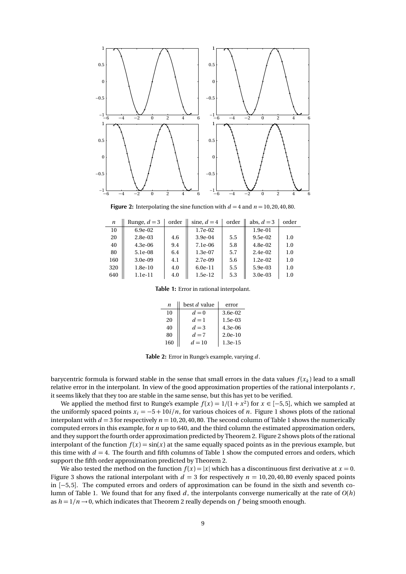

**Figure 2:** Interpolating the sine function with  $d = 4$  and  $n = 10, 20, 40, 80$ .

| n   | Runge, $d=3$ | order | sine, $d=4$ | order | abs. $d=3$ | order |
|-----|--------------|-------|-------------|-------|------------|-------|
| 10  | $6.9e-02$    |       | $1.7e-02$   |       | $1.9e-01$  |       |
| 20  | $2.8e-03$    | 4.6   | $3.9e-04$   | 5.5   | $9.5e-02$  | 1.0   |
| 40  | $4.3e-06$    | 9.4   | 7.1e-06     | 5.8   | $4.8e-02$  | 1.0   |
| 80  | 5.1e-08      | 6.4   | $1.3e-07$   | 5.7   | $2.4e-02$  | 1.0   |
| 160 | $3.0e-0.9$   | 4.1   | 2.7e-09     | 5.6   | $1.2e-02$  | 1.0   |
| 320 | $1.8e-10$    | 4.0   | $6.0e-11$   | 5.5   | 5.9e-03    | 1.0   |
| 640 | $1.1e-11$    | 4.0   | $1.5e-12$   | 5.3   | $3.0e-03$  | 1.0   |

Table 1: Error in rational interpolant.

| n   | best d value | error      |
|-----|--------------|------------|
| 10  | $d=0$        | $3.6e-0.2$ |
| 20  | $d=1$        | $1.5e-03$  |
| 40  | $d=3$        | $4.3e-06$  |
| 80  | $d=7$        | $2.0e-10$  |
| 160 | $d=10$       | $1.3e-15$  |

Table 2: Error in Runge's example, varying *d* .

barycentric formula is forward stable in the sense that small errors in the data values  $f(x_k)$  lead to a small relative error in the interpolant. In view of the good approximation properties of the rational interpolants *r* , it seems likely that they too are stable in the same sense, but this has yet to be verified.

We applied the method first to Runge's example  $f(x) = 1/(1 + x^2)$  for  $x \in [-5, 5]$ , which we sampled at the uniformly spaced points  $x_i = -5 + 10i/n$ , for various choices of *n*. Figure 1 shows plots of the rational interpolant with  $d = 3$  for respectively  $n = 10, 20, 40, 80$ . The second column of Table 1 shows the numerically computed errors in this example, for *n* up to 640, and the third column the estimated approximation orders, and they support the fourth order approximation predicted by Theorem 2. Figure 2 shows plots of the rational interpolant of the function  $f(x) = \sin(x)$  at the same equally spaced points as in the previous example, but this time with  $d = 4$ . The fourth and fifth columns of Table 1 show the computed errors and orders, which support the fifth order approximation predicted by Theorem 2.

We also tested the method on the function  $f(x) = |x|$  which has a discontinuous first derivative at  $x = 0$ . Figure 3 shows the rational interpolant with  $d = 3$  for respectively  $n = 10, 20, 40, 80$  evenly spaced points in [−5, 5]. The computed errors and orders of approximation can be found in the sixth and seventh column of Table 1. We found that for any fixed  $d$ , the interpolants converge numerically at the rate of  $O(h)$ as  $h = 1/n \rightarrow 0$ , which indicates that Theorem 2 really depends on f being smooth enough.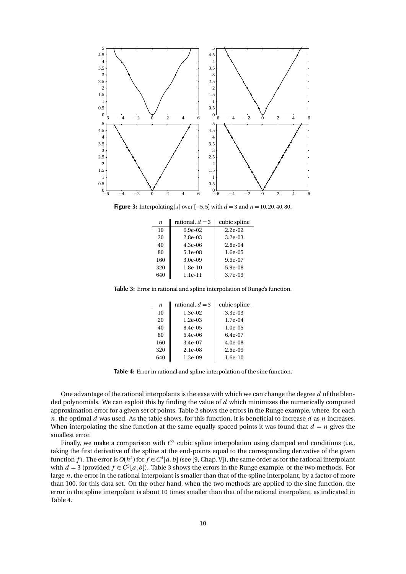

**Figure 3:** Interpolating |*x*| over [-5, 5] with  $d = 3$  and  $n = 10, 20, 40, 80$ .

| n   | rational, $d = 3$ | cubic spline |
|-----|-------------------|--------------|
| 10  | $6.9e-02$         | $2.2e-02$    |
| 20  | $2.8e-0.3$        | $3.2e-0.3$   |
| 40  | $4.3e-06$         | $2.8e-0.4$   |
| 80  | 5.1e-08           | $1.6e-0.5$   |
| 160 | $3.0e-0.9$        | 9.5e-07      |
| 320 | $1.8e-10$         | 5.9e-08      |
| 640 | $1.1e-11$         | 3.7e-09      |
|     |                   |              |

Table 3: Error in rational and spline interpolation of Runge's function.

| n   | rational, $d = 3$ | cubic spline |
|-----|-------------------|--------------|
| 10  | $1.3e-02$         | $3.3e-0.3$   |
| 20  | $1.2e-0.3$        | $1.7e-04$    |
| 40  | 8.4e-05           | $1.0e-0.5$   |
| 80  | $5.4e-06$         | $6.4e-07$    |
| 160 | 3.4e-07           | $4.0e-08$    |
| 320 | $2.1e-0.8$        | $2.5e-0.9$   |
| 640 | $1.3e-0.9$        | $1.6e-10$    |

Table 4: Error in rational and spline interpolation of the sine function.

One advantage of the rational interpolants is the ease with which we can change the degree *d* of the blended polynomials. We can exploit this by finding the value of *d* which minimizes the numerically computed approximation error for a given set of points. Table 2 shows the errors in the Runge example, where, for each *n*, the optimal *d* was used. As the table shows, for this function, it is beneficial to increase *d* as *n* increases. When interpolating the sine function at the same equally spaced points it was found that  $d = n$  gives the smallest error.

Finally, we make a comparison with  $C^2$  cubic spline interpolation using clamped end conditions (i.e., taking the first derivative of the spline at the end-points equal to the corresponding derivative of the given function f). The error is  $O(h^4)$  for  $f \in C^4[a, b]$  (see [9, Chap. V]), the same order as for the rational interpolant with  $d = 3$  (provided  $f \in C<sup>5</sup>[a, b]$ ). Table 3 shows the errors in the Runge example, of the two methods. For large *n*, the error in the rational interpolant is smaller than that of the spline interpolant, by a factor of more than 100, for this data set. On the other hand, when the two methods are applied to the sine function, the error in the spline interpolant is about 10 times smaller than that of the rational interpolant, as indicated in Table 4.